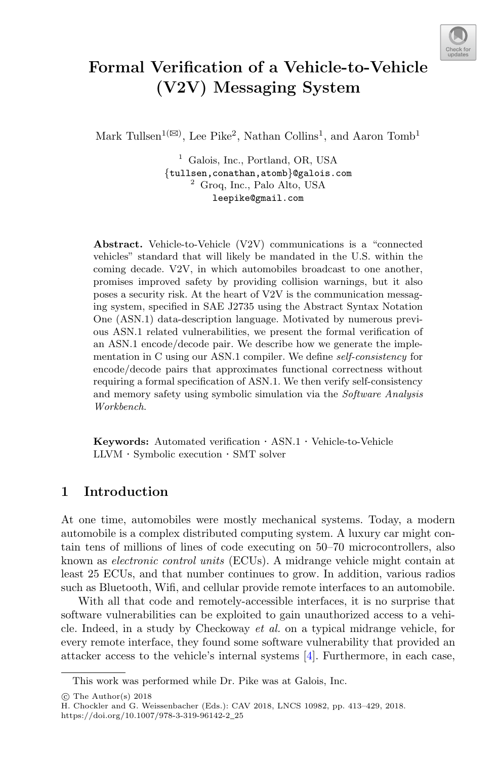

# **Formal Verification of a Vehicle-to-Vehicle (V2V) Messaging System**

Mark Tullsen<sup>1( $\boxtimes$ )</sup>, Lee Pike<sup>2</sup>, Nathan Collins<sup>1</sup>, and Aaron Tomb<sup>1</sup>

<sup>1</sup> Galois, Inc., Portland, OR, USA *{*tullsen,conathan,atomb*}*@galois.com <sup>2</sup> Groq, Inc., Palo Alto, USA leepike@gmail.com

**Abstract.** Vehicle-to-Vehicle (V2V) communications is a "connected vehicles" standard that will likely be mandated in the U.S. within the coming decade. V2V, in which automobiles broadcast to one another, promises improved safety by providing collision warnings, but it also poses a security risk. At the heart of V2V is the communication messaging system, specified in SAE J2735 using the Abstract Syntax Notation One (ASN.1) data-description language. Motivated by numerous previous ASN.1 related vulnerabilities, we present the formal verification of an ASN.1 encode/decode pair. We describe how we generate the implementation in C using our ASN.1 compiler. We define *self-consistency* for encode/decode pairs that approximates functional correctness without requiring a formal specification of ASN.1. We then verify self-consistency and memory safety using symbolic simulation via the *Software Analysis Workbench*.

**Keywords:** Automated verification · ASN.1 · Vehicle-to-Vehicle LLVM · Symbolic execution · SMT solver

# **1 Introduction**

At one time, automobiles were mostly mechanical systems. Today, a modern automobile is a complex distributed computing system. A luxury car might contain tens of millions of lines of code executing on 50–70 microcontrollers, also known as *electronic control units* (ECUs). A midrange vehicle might contain at least 25 ECUs, and that number continues to grow. In addition, various radios such as Bluetooth, Wifi, and cellular provide remote interfaces to an automobile.

With all that code and remotely-accessible interfaces, it is no surprise that software vulnerabilities can be exploited to gain unauthorized access to a vehicle. Indeed, in a study by Checkoway *et al.* on a typical midrange vehicle, for every remote interface, they found some software vulnerability that provided an attacker access to the vehicle's internal systems [\[4](#page-15-0)]. Furthermore, in each case,

This work was performed while Dr. Pike was at Galois, Inc.

 $\circ$  The Author(s) 2018

H. Chockler and G. Weissenbacher (Eds.): CAV 2018, LNCS 10982, pp. 413–429, 2018. https://doi.org/10.1007/978-3-319-96142-2\_25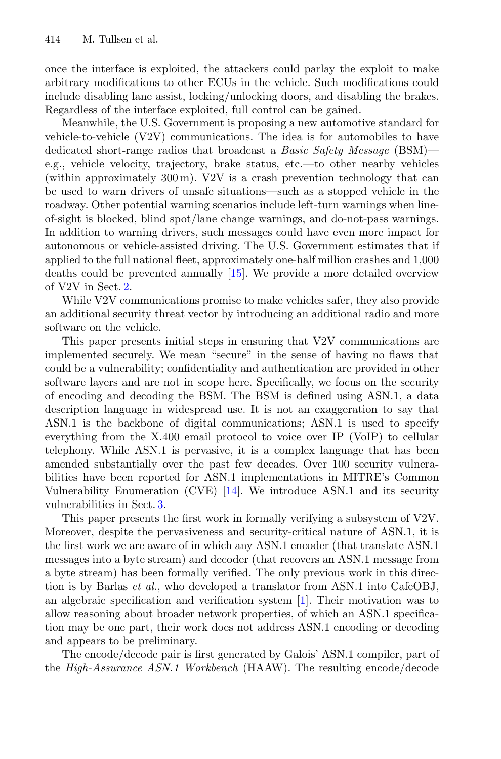once the interface is exploited, the attackers could parlay the exploit to make arbitrary modifications to other ECUs in the vehicle. Such modifications could include disabling lane assist, locking/unlocking doors, and disabling the brakes. Regardless of the interface exploited, full control can be gained.

Meanwhile, the U.S. Government is proposing a new automotive standard for vehicle-to-vehicle (V2V) communications. The idea is for automobiles to have dedicated short-range radios that broadcast a *Basic Safety Message* (BSM) e.g., vehicle velocity, trajectory, brake status, etc.—to other nearby vehicles (within approximately  $300 \,\mathrm{m}$ ). V2V is a crash prevention technology that can be used to warn drivers of unsafe situations—such as a stopped vehicle in the roadway. Other potential warning scenarios include left-turn warnings when lineof-sight is blocked, blind spot/lane change warnings, and do-not-pass warnings. In addition to warning drivers, such messages could have even more impact for autonomous or vehicle-assisted driving. The U.S. Government estimates that if applied to the full national fleet, approximately one-half million crashes and 1,000 deaths could be prevented annually [\[15](#page-16-0)]. We provide a more detailed overview of V2V in Sect. [2.](#page-2-0)

While V2V communications promise to make vehicles safer, they also provide an additional security threat vector by introducing an additional radio and more software on the vehicle.

This paper presents initial steps in ensuring that V2V communications are implemented securely. We mean "secure" in the sense of having no flaws that could be a vulnerability; confidentiality and authentication are provided in other software layers and are not in scope here. Specifically, we focus on the security of encoding and decoding the BSM. The BSM is defined using ASN.1, a data description language in widespread use. It is not an exaggeration to say that ASN.1 is the backbone of digital communications; ASN.1 is used to specify everything from the X.400 email protocol to voice over IP (VoIP) to cellular telephony. While ASN.1 is pervasive, it is a complex language that has been amended substantially over the past few decades. Over 100 security vulnerabilities have been reported for ASN.1 implementations in MITRE's Common Vulnerability Enumeration (CVE) [\[14](#page-16-1)]. We introduce ASN.1 and its security vulnerabilities in Sect. [3.](#page-2-1)

This paper presents the first work in formally verifying a subsystem of V2V. Moreover, despite the pervasiveness and security-critical nature of ASN.1, it is the first work we are aware of in which any ASN.1 encoder (that translate ASN.1 messages into a byte stream) and decoder (that recovers an ASN.1 message from a byte stream) has been formally verified. The only previous work in this direction is by Barlas *et al.*, who developed a translator from ASN.1 into CafeOBJ, an algebraic specification and verification system [\[1](#page-15-1)]. Their motivation was to allow reasoning about broader network properties, of which an ASN.1 specification may be one part, their work does not address ASN.1 encoding or decoding and appears to be preliminary.

The encode/decode pair is first generated by Galois' ASN.1 compiler, part of the *High-Assurance ASN.1 Workbench* (HAAW). The resulting encode/decode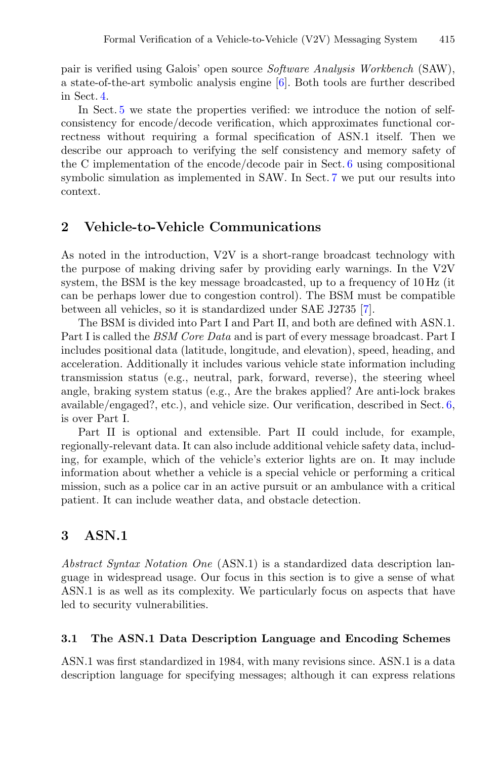pair is verified using Galois' open source *Software Analysis Workbench* (SAW), a state-of-the-art symbolic analysis engine [\[6\]](#page-15-2). Both tools are further described in Sect. [4.](#page-5-0)

In Sect. [5](#page-7-0) we state the properties verified: we introduce the notion of selfconsistency for encode/decode verification, which approximates functional correctness without requiring a formal specification of ASN.1 itself. Then we describe our approach to verifying the self consistency and memory safety of the C implementation of the encode/decode pair in Sect. [6](#page-8-0) using compositional symbolic simulation as implemented in SAW. In Sect. [7](#page-13-0) we put our results into context.

## <span id="page-2-0"></span>**2 Vehicle-to-Vehicle Communications**

As noted in the introduction, V2V is a short-range broadcast technology with the purpose of making driving safer by providing early warnings. In the V2V system, the BSM is the key message broadcasted, up to a frequency of 10 Hz (it can be perhaps lower due to congestion control). The BSM must be compatible between all vehicles, so it is standardized under SAE J2735 [\[7\]](#page-15-3).

The BSM is divided into Part I and Part II, and both are defined with ASN.1. Part I is called the *BSM Core Data* and is part of every message broadcast. Part I includes positional data (latitude, longitude, and elevation), speed, heading, and acceleration. Additionally it includes various vehicle state information including transmission status (e.g., neutral, park, forward, reverse), the steering wheel angle, braking system status (e.g., Are the brakes applied? Are anti-lock brakes available/engaged?, etc.), and vehicle size. Our verification, described in Sect. [6,](#page-8-0) is over Part I.

Part II is optional and extensible. Part II could include, for example, regionally-relevant data. It can also include additional vehicle safety data, including, for example, which of the vehicle's exterior lights are on. It may include information about whether a vehicle is a special vehicle or performing a critical mission, such as a police car in an active pursuit or an ambulance with a critical patient. It can include weather data, and obstacle detection.

## <span id="page-2-1"></span>**3 ASN.1**

*Abstract Syntax Notation One* (ASN.1) is a standardized data description language in widespread usage. Our focus in this section is to give a sense of what ASN.1 is as well as its complexity. We particularly focus on aspects that have led to security vulnerabilities.

#### **3.1 The ASN.1 Data Description Language and Encoding Schemes**

ASN.1 was first standardized in 1984, with many revisions since. ASN.1 is a data description language for specifying messages; although it can express relations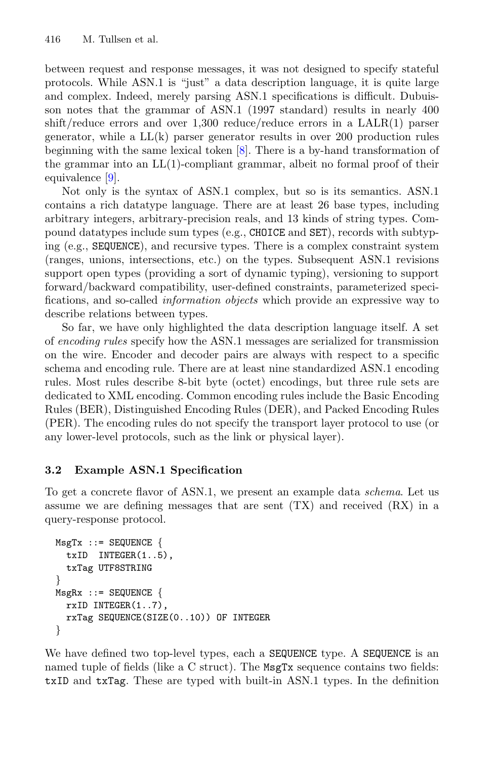between request and response messages, it was not designed to specify stateful protocols. While ASN.1 is "just" a data description language, it is quite large and complex. Indeed, merely parsing ASN.1 specifications is difficult. Dubuisson notes that the grammar of ASN.1 (1997 standard) results in nearly 400 shift/reduce errors and over  $1,300$  reduce/reduce errors in a  $\text{LALR}(1)$  parser generator, while a LL(k) parser generator results in over 200 production rules beginning with the same lexical token [\[8](#page-15-4)]. There is a by-hand transformation of the grammar into an LL(1)-compliant grammar, albeit no formal proof of their equivalence [\[9\]](#page-15-5).

Not only is the syntax of ASN.1 complex, but so is its semantics. ASN.1 contains a rich datatype language. There are at least 26 base types, including arbitrary integers, arbitrary-precision reals, and 13 kinds of string types. Compound datatypes include sum types (e.g., CHOICE and SET), records with subtyping (e.g., SEQUENCE), and recursive types. There is a complex constraint system (ranges, unions, intersections, etc.) on the types. Subsequent ASN.1 revisions support open types (providing a sort of dynamic typing), versioning to support forward/backward compatibility, user-defined constraints, parameterized specifications, and so-called *information objects* which provide an expressive way to describe relations between types.

So far, we have only highlighted the data description language itself. A set of *encoding rules* specify how the ASN.1 messages are serialized for transmission on the wire. Encoder and decoder pairs are always with respect to a specific schema and encoding rule. There are at least nine standardized ASN.1 encoding rules. Most rules describe 8-bit byte (octet) encodings, but three rule sets are dedicated to XML encoding. Common encoding rules include the Basic Encoding Rules (BER), Distinguished Encoding Rules (DER), and Packed Encoding Rules (PER). The encoding rules do not specify the transport layer protocol to use (or any lower-level protocols, such as the link or physical layer).

## **3.2 Example ASN.1 Specification**

To get a concrete flavor of ASN.1, we present an example data *schema*. Let us assume we are defining messages that are sent (TX) and received (RX) in a query-response protocol.

```
MsgTx ::= SEQUENCE {
 txID INTEGER(1..5),
 txTag UTF8STRING
}
MsgRx ::= SEQUENCE {
 rxID INTEGER(1..7),
 rxTag SEQUENCE(SIZE(0..10)) OF INTEGER
}
```
We have defined two top-level types, each a **SEQUENCE** type. A **SEQUENCE** is an named tuple of fields (like a C struct). The MsgTx sequence contains two fields: txID and txTag. These are typed with built-in ASN.1 types. In the definition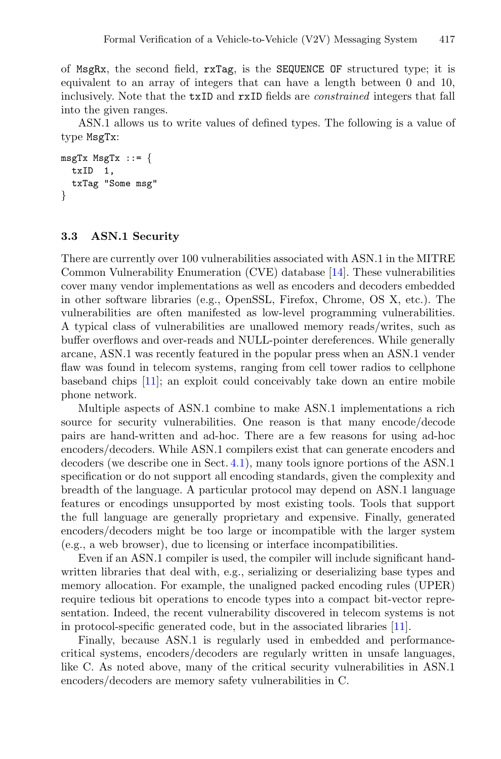of MsgRx, the second field, rxTag, is the SEQUENCE OF structured type; it is equivalent to an array of integers that can have a length between 0 and 10, inclusively. Note that the txID and rxID fields are *constrained* integers that fall into the given ranges.

ASN.1 allows us to write values of defined types. The following is a value of type MsgTx:

```
msgTx MsgTx ::= {
  txID 1,
  txTag "Some msg"
}
```
#### **3.3 ASN.1 Security**

There are currently over 100 vulnerabilities associated with ASN.1 in the MITRE Common Vulnerability Enumeration (CVE) database [\[14](#page-16-1)]. These vulnerabilities cover many vendor implementations as well as encoders and decoders embedded in other software libraries (e.g., OpenSSL, Firefox, Chrome, OS X, etc.). The vulnerabilities are often manifested as low-level programming vulnerabilities. A typical class of vulnerabilities are unallowed memory reads/writes, such as buffer overflows and over-reads and NULL-pointer dereferences. While generally arcane, ASN.1 was recently featured in the popular press when an ASN.1 vender flaw was found in telecom systems, ranging from cell tower radios to cellphone baseband chips [\[11](#page-16-2)]; an exploit could conceivably take down an entire mobile phone network.

Multiple aspects of ASN.1 combine to make ASN.1 implementations a rich source for security vulnerabilities. One reason is that many encode/decode pairs are hand-written and ad-hoc. There are a few reasons for using ad-hoc encoders/decoders. While ASN.1 compilers exist that can generate encoders and decoders (we describe one in Sect. [4.1\)](#page-5-1), many tools ignore portions of the ASN.1 specification or do not support all encoding standards, given the complexity and breadth of the language. A particular protocol may depend on ASN.1 language features or encodings unsupported by most existing tools. Tools that support the full language are generally proprietary and expensive. Finally, generated encoders/decoders might be too large or incompatible with the larger system (e.g., a web browser), due to licensing or interface incompatibilities.

Even if an ASN.1 compiler is used, the compiler will include significant handwritten libraries that deal with, e.g., serializing or deserializing base types and memory allocation. For example, the unaligned packed encoding rules (UPER) require tedious bit operations to encode types into a compact bit-vector representation. Indeed, the recent vulnerability discovered in telecom systems is not in protocol-specific generated code, but in the associated libraries [\[11\]](#page-16-2).

Finally, because ASN.1 is regularly used in embedded and performancecritical systems, encoders/decoders are regularly written in unsafe languages, like C. As noted above, many of the critical security vulnerabilities in ASN.1 encoders/decoders are memory safety vulnerabilities in C.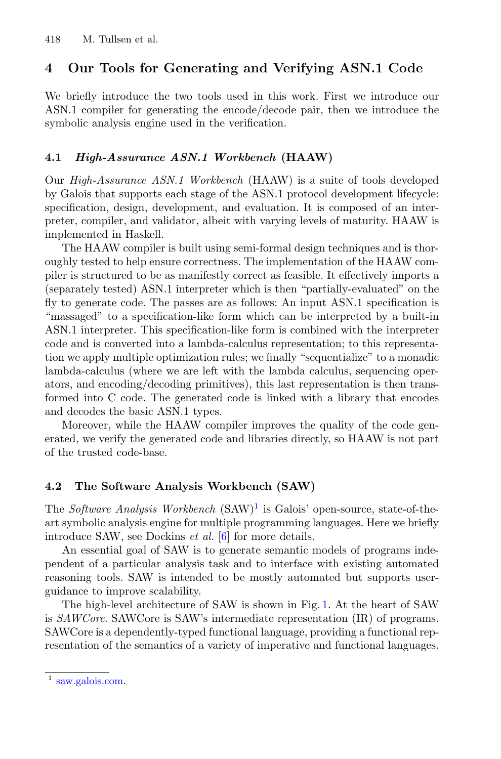# <span id="page-5-0"></span>**4 Our Tools for Generating and Verifying ASN.1 Code**

We briefly introduce the two tools used in this work. First we introduce our ASN.1 compiler for generating the encode/decode pair, then we introduce the symbolic analysis engine used in the verification.

## <span id="page-5-1"></span>**4.1** *High-Assurance ASN.1 Workbench* **(HAAW)**

Our *High-Assurance ASN.1 Workbench* (HAAW) is a suite of tools developed by Galois that supports each stage of the ASN.1 protocol development lifecycle: specification, design, development, and evaluation. It is composed of an interpreter, compiler, and validator, albeit with varying levels of maturity. HAAW is implemented in Haskell.

The HAAW compiler is built using semi-formal design techniques and is thoroughly tested to help ensure correctness. The implementation of the HAAW compiler is structured to be as manifestly correct as feasible. It effectively imports a (separately tested) ASN.1 interpreter which is then "partially-evaluated" on the fly to generate code. The passes are as follows: An input ASN.1 specification is "massaged" to a specification-like form which can be interpreted by a built-in ASN.1 interpreter. This specification-like form is combined with the interpreter code and is converted into a lambda-calculus representation; to this representation we apply multiple optimization rules; we finally "sequentialize" to a monadic lambda-calculus (where we are left with the lambda calculus, sequencing operators, and encoding/decoding primitives), this last representation is then transformed into C code. The generated code is linked with a library that encodes and decodes the basic ASN.1 types.

Moreover, while the HAAW compiler improves the quality of the code generated, we verify the generated code and libraries directly, so HAAW is not part of the trusted code-base.

## **4.2 The Software Analysis Workbench (SAW)**

The *Software Analysis Workbench* (SAW)<sup>[1](#page-5-2)</sup> is Galois' open-source, state-of-theart symbolic analysis engine for multiple programming languages. Here we briefly introduce SAW, see Dockins *et al.* [\[6](#page-15-2)] for more details.

An essential goal of SAW is to generate semantic models of programs independent of a particular analysis task and to interface with existing automated reasoning tools. SAW is intended to be mostly automated but supports userguidance to improve scalability.

The high-level architecture of SAW is shown in Fig. [1.](#page-6-0) At the heart of SAW is *SAWCore*. SAWCore is SAW's intermediate representation (IR) of programs. SAWCore is a dependently-typed functional language, providing a functional representation of the semantics of a variety of imperative and functional languages.

<span id="page-5-2"></span> $1$  [saw.galois.com.](https://saw.galois.com)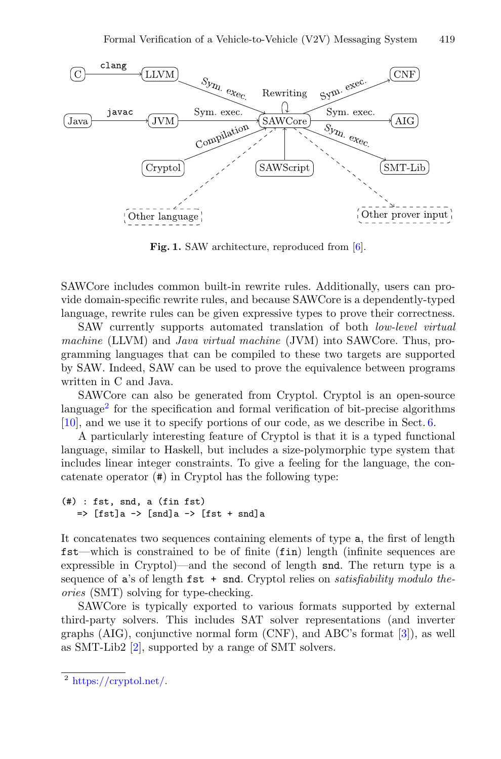

<span id="page-6-0"></span>Fig. 1. SAW architecture, reproduced from [\[6](#page-15-2)].

SAWCore includes common built-in rewrite rules. Additionally, users can provide domain-specific rewrite rules, and because SAWCore is a dependently-typed language, rewrite rules can be given expressive types to prove their correctness.

SAW currently supports automated translation of both *low-level virtual machine* (LLVM) and *Java virtual machine* (JVM) into SAWCore. Thus, programming languages that can be compiled to these two targets are supported by SAW. Indeed, SAW can be used to prove the equivalence between programs written in C and Java.

SAWCore can also be generated from Cryptol. Cryptol is an open-source language<sup>[2](#page-6-1)</sup> for the specification and formal verification of bit-precise algorithms [\[10](#page-16-3)], and we use it to specify portions of our code, as we describe in Sect. [6.](#page-8-0)

A particularly interesting feature of Cryptol is that it is a typed functional language, similar to Haskell, but includes a size-polymorphic type system that includes linear integer constraints. To give a feeling for the language, the concatenate operator (#) in Cryptol has the following type:

## (#) : fst, snd, a (fin fst)  $\Rightarrow$  [fst]a  $\rightarrow$  [snd]a  $\rightarrow$  [fst + snd]a

It concatenates two sequences containing elements of type a, the first of length fst—which is constrained to be of finite (fin) length (infinite sequences are expressible in Cryptol)—and the second of length snd. The return type is a sequence of a's of length fst + snd. Cryptol relies on *satisfiability modulo theories* (SMT) solving for type-checking.

SAWCore is typically exported to various formats supported by external third-party solvers. This includes SAT solver representations (and inverter graphs (AIG), conjunctive normal form (CNF), and ABC's format [\[3](#page-15-6)]), as well as SMT-Lib2 [\[2\]](#page-15-7), supported by a range of SMT solvers.

<span id="page-6-1"></span> $\frac{2 \text{ https://cryptol.net/}}{}$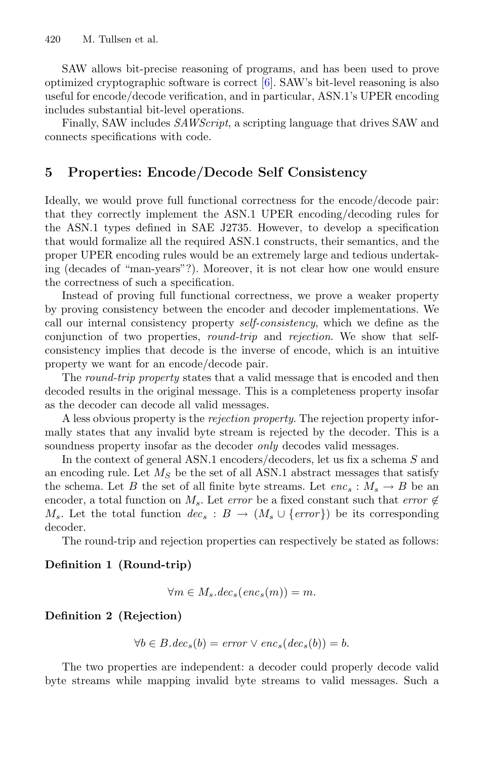SAW allows bit-precise reasoning of programs, and has been used to prove optimized cryptographic software is correct [\[6\]](#page-15-2). SAW's bit-level reasoning is also useful for encode/decode verification, and in particular, ASN.1's UPER encoding includes substantial bit-level operations.

Finally, SAW includes *SAWScript*, a scripting language that drives SAW and connects specifications with code.

## <span id="page-7-0"></span>**5 Properties: Encode/Decode Self Consistency**

Ideally, we would prove full functional correctness for the encode/decode pair: that they correctly implement the ASN.1 UPER encoding/decoding rules for the ASN.1 types defined in SAE J2735. However, to develop a specification that would formalize all the required ASN.1 constructs, their semantics, and the proper UPER encoding rules would be an extremely large and tedious undertaking (decades of "man-years"?). Moreover, it is not clear how one would ensure the correctness of such a specification.

Instead of proving full functional correctness, we prove a weaker property by proving consistency between the encoder and decoder implementations. We call our internal consistency property *self-consistency*, which we define as the conjunction of two properties, *round-trip* and *rejection*. We show that selfconsistency implies that decode is the inverse of encode, which is an intuitive property we want for an encode/decode pair.

The *round-trip property* states that a valid message that is encoded and then decoded results in the original message. This is a completeness property insofar as the decoder can decode all valid messages.

A less obvious property is the *rejection property*. The rejection property informally states that any invalid byte stream is rejected by the decoder. This is a soundness property insofar as the decoder *only* decodes valid messages.

In the context of general ASN.1 encoders/decoders, let us fix a schema *S* and an encoding rule. Let  $M<sub>S</sub>$  be the set of all ASN.1 abstract messages that satisfy the schema. Let *B* the set of all finite byte streams. Let  $enc_s : M_s \to B$  be an encoder, a total function on  $M_s$ . Let *error* be a fixed constant such that *error*  $\notin$  $M_s$ . Let the total function  $dec_s : B \to (M_s \cup \{error\})$  be its corresponding decoder.

The round-trip and rejection properties can respectively be stated as follows:

#### **Definition 1 (Round-trip)**

$$
\forall m \in M_s. dec_s(enc_s(m)) = m.
$$

**Definition 2 (Rejection)**

$$
\forall b \in B. dec_s(b) = error \lor enc_s(dec_s(b)) = b.
$$

The two properties are independent: a decoder could properly decode valid byte streams while mapping invalid byte streams to valid messages. Such a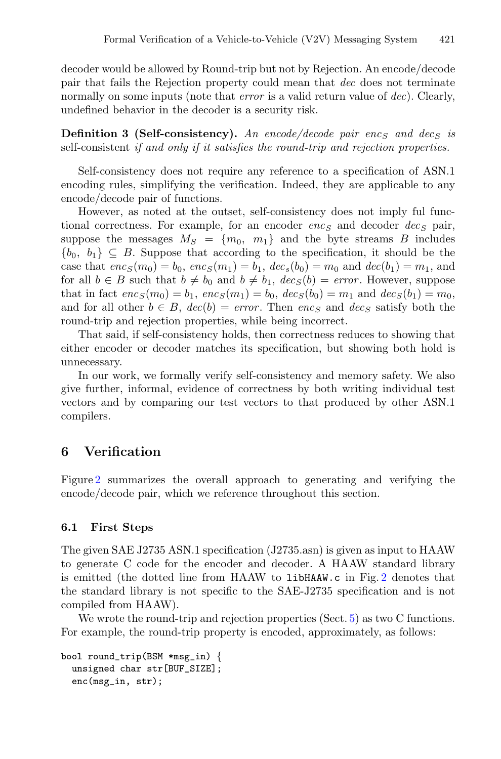decoder would be allowed by Round-trip but not by Rejection. An encode/decode pair that fails the Rejection property could mean that *dec* does not terminate normally on some inputs (note that *error* is a valid return value of *dec*). Clearly, undefined behavior in the decoder is a security risk.

**Definition 3 (Self-consistency).** *An encode/decode pair enc<sup>S</sup> and dec<sup>S</sup> is* self-consistent *if and only if it satisfies the round-trip and rejection properties.*

Self-consistency does not require any reference to a specification of ASN.1 encoding rules, simplifying the verification. Indeed, they are applicable to any encode/decode pair of functions.

However, as noted at the outset, self-consistency does not imply ful functional correctness. For example, for an encoder  $enc<sub>S</sub>$  and decoder  $dec<sub>S</sub>$  pair, suppose the messages  $M_S = \{m_0, m_1\}$  and the byte streams *B* includes  ${b_0, b_1} \subseteq B$ . Suppose that according to the specification, it should be the case that  $enc_S(m_0) = b_0$ ,  $enc_S(m_1) = b_1$ ,  $dec_s(b_0) = m_0$  and  $dec(b_1) = m_1$ , and for all  $b \in B$  such that  $b \neq b_0$  and  $b \neq b_1$ ,  $dec_S(b) = error$ . However, suppose that in fact  $enc_S(m_0) = b_1$ ,  $enc_S(m_1) = b_0$ ,  $dec_S(b_0) = m_1$  and  $dec_S(b_1) = m_0$ , and for all other  $b \in B$ ,  $dec(b) = error$ . Then  $enc<sub>S</sub>$  and  $dec<sub>S</sub>$  satisfy both the round-trip and rejection properties, while being incorrect.

That said, if self-consistency holds, then correctness reduces to showing that either encoder or decoder matches its specification, but showing both hold is unnecessary.

In our work, we formally verify self-consistency and memory safety. We also give further, informal, evidence of correctness by both writing individual test vectors and by comparing our test vectors to that produced by other ASN.1 compilers.

## <span id="page-8-0"></span>**6 Verification**

Figure [2](#page-9-0) summarizes the overall approach to generating and verifying the encode/decode pair, which we reference throughout this section.

## **6.1 First Steps**

The given SAE J2735 ASN.1 specification (J2735.asn) is given as input to HAAW to generate C code for the encoder and decoder. A HAAW standard library is emitted (the dotted line from HAAW to libHAAW.c in Fig. [2](#page-9-0) denotes that the standard library is not specific to the SAE-J2735 specification and is not compiled from HAAW).

We wrote the round-trip and rejection properties (Sect. [5\)](#page-7-0) as two C functions. For example, the round-trip property is encoded, approximately, as follows:

```
bool round_trip(BSM *msg_in) {
  unsigned char str[BUF_SIZE];
  enc(msg_in, str);
```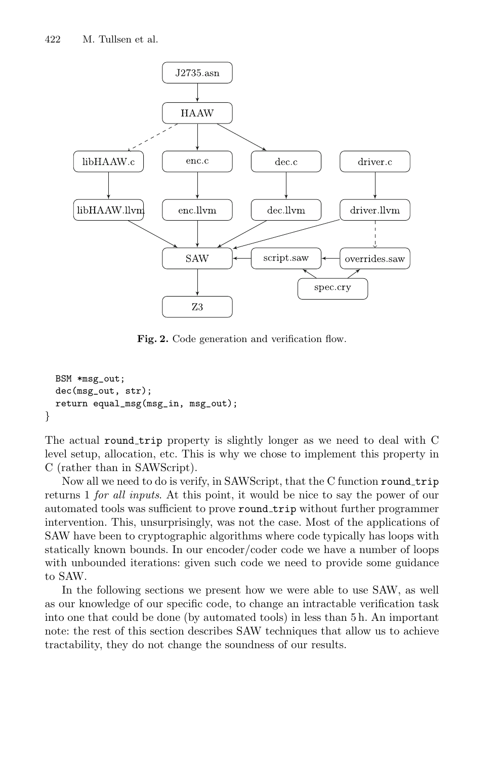

<span id="page-9-0"></span>Fig. 2. Code generation and verification flow.

```
BSM *msg_out;
 dec(msg_out, str);
 return equal_msg(msg_in, msg_out);
}
```
The actual round trip property is slightly longer as we need to deal with C level setup, allocation, etc. This is why we chose to implement this property in C (rather than in SAWScript).

Now all we need to do is verify, in SAWScript, that the C function round\_trip returns 1 *for all inputs*. At this point, it would be nice to say the power of our automated tools was sufficient to prove round trip without further programmer intervention. This, unsurprisingly, was not the case. Most of the applications of SAW have been to cryptographic algorithms where code typically has loops with statically known bounds. In our encoder/coder code we have a number of loops with unbounded iterations: given such code we need to provide some guidance to SAW.

In the following sections we present how we were able to use SAW, as well as our knowledge of our specific code, to change an intractable verification task into one that could be done (by automated tools) in less than 5 h. An important note: the rest of this section describes SAW techniques that allow us to achieve tractability, they do not change the soundness of our results.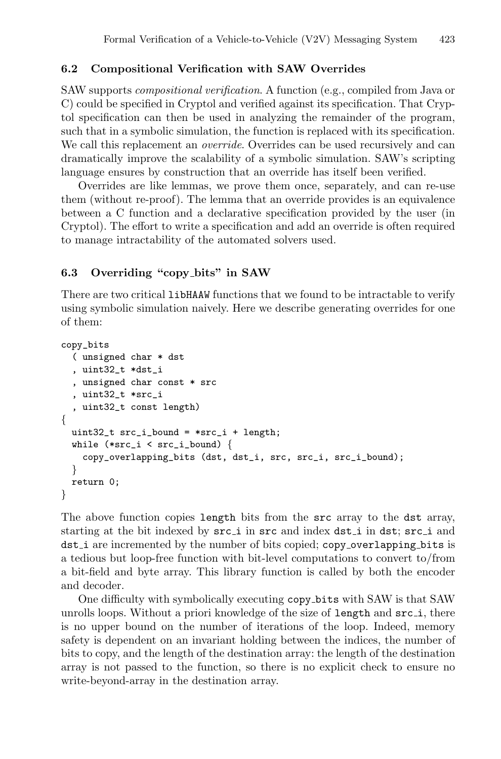#### <span id="page-10-0"></span>**6.2 Compositional Verification with SAW Overrides**

SAW supports *compositional verification*. A function (e.g., compiled from Java or C) could be specified in Cryptol and verified against its specification. That Cryptol specification can then be used in analyzing the remainder of the program, such that in a symbolic simulation, the function is replaced with its specification. We call this replacement an *override*. Overrides can be used recursively and can dramatically improve the scalability of a symbolic simulation. SAW's scripting language ensures by construction that an override has itself been verified.

Overrides are like lemmas, we prove them once, separately, and can re-use them (without re-proof). The lemma that an override provides is an equivalence between a C function and a declarative specification provided by the user (in Cryptol). The effort to write a specification and add an override is often required to manage intractability of the automated solvers used.

#### **6.3 Overriding "copy bits" in SAW**

There are two critical libHAAW functions that we found to be intractable to verify using symbolic simulation naively. Here we describe generating overrides for one of them:

```
copy_bits
  ( unsigned char * dst
  , uint32_t *dst_i
  , unsigned char const * src
  , uint32_t *src_i
  , uint32_t const length)
{
 uint32_t src_i_bound = *src_i + length;while (*src_i < src_i_bound) {
    copy_overlapping_bits (dst, dst_i, src, src_i, src_i_bound);
  }
 return 0;
}
```
The above function copies length bits from the src array to the dst array, starting at the bit indexed by  $src_i$  in src and index dst<sub>i</sub> in dst; src<sub>i</sub> and dst<sub>i</sub> are incremented by the number of bits copied; copy\_overlapping\_bits is a tedious but loop-free function with bit-level computations to convert to/from a bit-field and byte array. This library function is called by both the encoder and decoder.

One difficulty with symbolically executing copy bits with SAW is that SAW unrolls loops. Without a priori knowledge of the size of length and  $src_i$ , there is no upper bound on the number of iterations of the loop. Indeed, memory safety is dependent on an invariant holding between the indices, the number of bits to copy, and the length of the destination array: the length of the destination array is not passed to the function, so there is no explicit check to ensure no write-beyond-array in the destination array.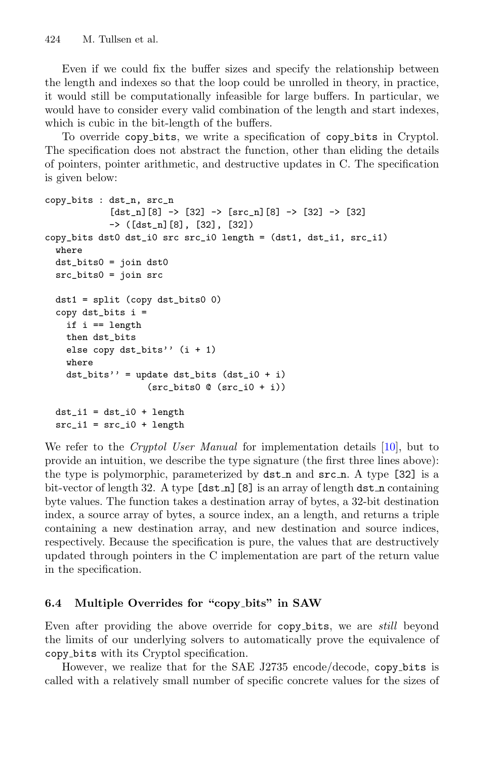Even if we could fix the buffer sizes and specify the relationship between the length and indexes so that the loop could be unrolled in theory, in practice, it would still be computationally infeasible for large buffers. In particular, we would have to consider every valid combination of the length and start indexes, which is cubic in the bit-length of the buffers.

To override copy bits, we write a specification of copy bits in Cryptol. The specification does not abstract the function, other than eliding the details of pointers, pointer arithmetic, and destructive updates in C. The specification is given below:

```
copy_bits : dst_n, src_n
             [dst_n][8] \rightarrow [32] \rightarrow [src_n][8] \rightarrow [32] \rightarrow [32]-> ([dst_n][8], [32], [32])
copy_bits dst0 dst_i0 src src_i0 length = (dst1, dst_i1, src_i1)
  where
  dst_bits0 = join dst0
  src_bits0 = join src
  dst1 = split (copy dst_bits0 0)
  copy dst_bits i =
    if i == length
    then dst_bits
    else copy dst_bits'' (i + 1)
    where
    dst_bits'' = update dst_bits (dst_i0 + i)
                     (src_bits0 @ (src_i0 + i))
  dst_i1 = dst_i0 + lengthsrc_i1 = src_i0 + length
```
We refer to the *Cryptol User Manual* for implementation details [\[10](#page-16-3)], but to provide an intuition, we describe the type signature (the first three lines above): the type is polymorphic, parameterized by dst n and src n. A type [32] is a bit-vector of length 32. A type  $\text{[dst_n]}[8]$  is an array of length  $\text{dst_n}$  containing byte values. The function takes a destination array of bytes, a 32-bit destination index, a source array of bytes, a source index, an a length, and returns a triple containing a new destination array, and new destination and source indices, respectively. Because the specification is pure, the values that are destructively updated through pointers in the C implementation are part of the return value in the specification.

# **6.4 Multiple Overrides for "copy bits" in SAW**

Even after providing the above override for copy bits, we are *still* beyond the limits of our underlying solvers to automatically prove the equivalence of copy bits with its Cryptol specification.

However, we realize that for the SAE J2735 encode/decode, copy bits is called with a relatively small number of specific concrete values for the sizes of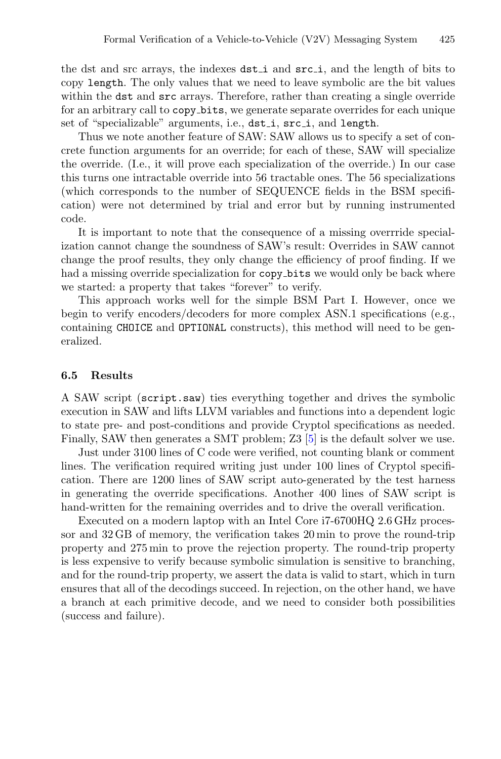the dst and src arrays, the indexes  $\text{dst}_i$  and  $\text{src}_i$ , and the length of bits to copy length. The only values that we need to leave symbolic are the bit values within the dst and src arrays. Therefore, rather than creating a single override for an arbitrary call to copy bits, we generate separate overrides for each unique set of "specializable" arguments, i.e.,  $dst_i$ ,  $src_i$ , and length.

Thus we note another feature of SAW: SAW allows us to specify a set of concrete function arguments for an override; for each of these, SAW will specialize the override. (I.e., it will prove each specialization of the override.) In our case this turns one intractable override into 56 tractable ones. The 56 specializations (which corresponds to the number of SEQUENCE fields in the BSM specification) were not determined by trial and error but by running instrumented code.

It is important to note that the consequence of a missing overrride specialization cannot change the soundness of SAW's result: Overrides in SAW cannot change the proof results, they only change the efficiency of proof finding. If we had a missing override specialization for copy\_bits we would only be back where we started: a property that takes "forever" to verify.

This approach works well for the simple BSM Part I. However, once we begin to verify encoders/decoders for more complex ASN.1 specifications (e.g., containing CHOICE and OPTIONAL constructs), this method will need to be generalized.

### **6.5 Results**

A SAW script (script.saw) ties everything together and drives the symbolic execution in SAW and lifts LLVM variables and functions into a dependent logic to state pre- and post-conditions and provide Cryptol specifications as needed. Finally, SAW then generates a SMT problem; Z3 [\[5](#page-15-8)] is the default solver we use.

Just under 3100 lines of C code were verified, not counting blank or comment lines. The verification required writing just under 100 lines of Cryptol specification. There are 1200 lines of SAW script auto-generated by the test harness in generating the override specifications. Another 400 lines of SAW script is hand-written for the remaining overrides and to drive the overall verification.

Executed on a modern laptop with an Intel Core i7-6700HQ 2.6 GHz processor and 32 GB of memory, the verification takes 20 min to prove the round-trip property and 275 min to prove the rejection property. The round-trip property is less expensive to verify because symbolic simulation is sensitive to branching, and for the round-trip property, we assert the data is valid to start, which in turn ensures that all of the decodings succeed. In rejection, on the other hand, we have a branch at each primitive decode, and we need to consider both possibilities (success and failure).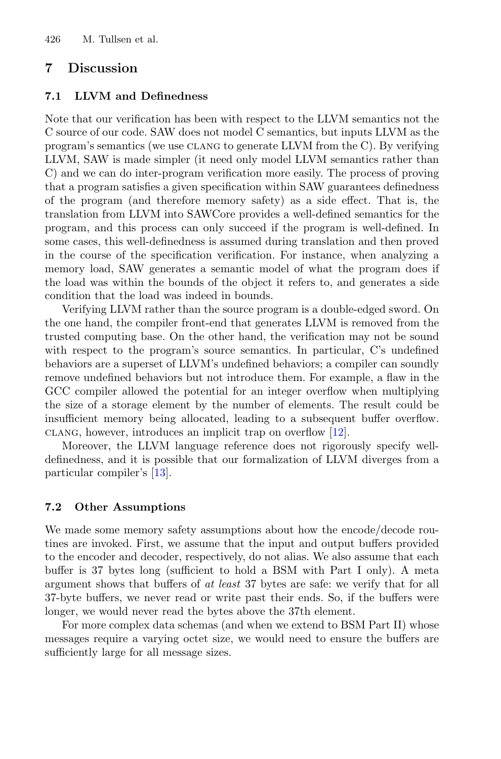## <span id="page-13-0"></span>**7 Discussion**

#### **7.1 LLVM and Definedness**

Note that our verification has been with respect to the LLVM semantics not the C source of our code. SAW does not model C semantics, but inputs LLVM as the program's semantics (we use clang to generate LLVM from the C). By verifying LLVM, SAW is made simpler (it need only model LLVM semantics rather than C) and we can do inter-program verification more easily. The process of proving that a program satisfies a given specification within SAW guarantees definedness of the program (and therefore memory safety) as a side effect. That is, the translation from LLVM into SAWCore provides a well-defined semantics for the program, and this process can only succeed if the program is well-defined. In some cases, this well-definedness is assumed during translation and then proved in the course of the specification verification. For instance, when analyzing a memory load, SAW generates a semantic model of what the program does if the load was within the bounds of the object it refers to, and generates a side condition that the load was indeed in bounds.

Verifying LLVM rather than the source program is a double-edged sword. On the one hand, the compiler front-end that generates LLVM is removed from the trusted computing base. On the other hand, the verification may not be sound with respect to the program's source semantics. In particular, C's undefined behaviors are a superset of LLVM's undefined behaviors; a compiler can soundly remove undefined behaviors but not introduce them. For example, a flaw in the GCC compiler allowed the potential for an integer overflow when multiplying the size of a storage element by the number of elements. The result could be insufficient memory being allocated, leading to a subsequent buffer overflow. clang, however, introduces an implicit trap on overflow [\[12\]](#page-16-4).

Moreover, the LLVM language reference does not rigorously specify welldefinedness, and it is possible that our formalization of LLVM diverges from a particular compiler's [\[13](#page-16-5)].

## **7.2 Other Assumptions**

We made some memory safety assumptions about how the encode/decode routines are invoked. First, we assume that the input and output buffers provided to the encoder and decoder, respectively, do not alias. We also assume that each buffer is 37 bytes long (sufficient to hold a BSM with Part I only). A meta argument shows that buffers of *at least* 37 bytes are safe: we verify that for all 37-byte buffers, we never read or write past their ends. So, if the buffers were longer, we would never read the bytes above the 37th element.

For more complex data schemas (and when we extend to BSM Part II) whose messages require a varying octet size, we would need to ensure the buffers are sufficiently large for all message sizes.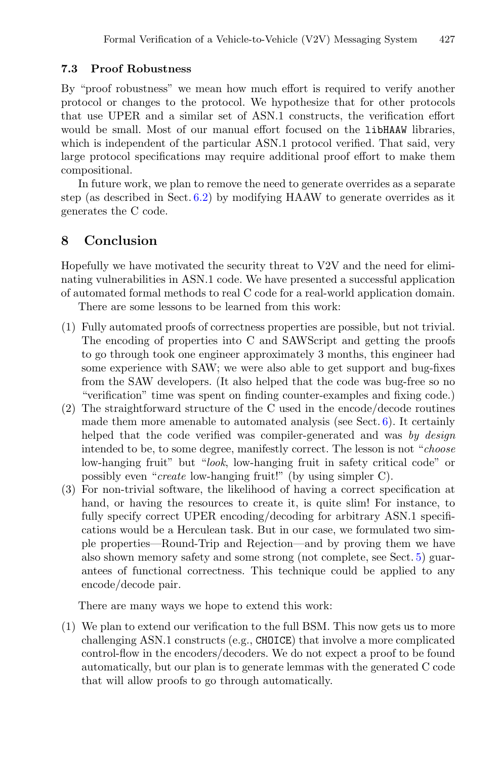#### **7.3 Proof Robustness**

By "proof robustness" we mean how much effort is required to verify another protocol or changes to the protocol. We hypothesize that for other protocols that use UPER and a similar set of ASN.1 constructs, the verification effort would be small. Most of our manual effort focused on the libHAAW libraries, which is independent of the particular ASN.1 protocol verified. That said, very large protocol specifications may require additional proof effort to make them compositional.

In future work, we plan to remove the need to generate overrides as a separate step (as described in Sect. [6.2\)](#page-10-0) by modifying HAAW to generate overrides as it generates the C code.

## **8 Conclusion**

Hopefully we have motivated the security threat to V2V and the need for eliminating vulnerabilities in ASN.1 code. We have presented a successful application of automated formal methods to real C code for a real-world application domain.

There are some lessons to be learned from this work:

- (1) Fully automated proofs of correctness properties are possible, but not trivial. The encoding of properties into C and SAWScript and getting the proofs to go through took one engineer approximately 3 months, this engineer had some experience with SAW; we were also able to get support and bug-fixes from the SAW developers. (It also helped that the code was bug-free so no "verification" time was spent on finding counter-examples and fixing code.)
- (2) The straightforward structure of the C used in the encode/decode routines made them more amenable to automated analysis (see Sect.  $6$ ). It certainly helped that the code verified was compiler-generated and was *by design* intended to be, to some degree, manifestly correct. The lesson is not "*choose* low-hanging fruit" but "*look*, low-hanging fruit in safety critical code" or possibly even "*create* low-hanging fruit!" (by using simpler C).
- (3) For non-trivial software, the likelihood of having a correct specification at hand, or having the resources to create it, is quite slim! For instance, to fully specify correct UPER encoding/decoding for arbitrary ASN.1 specifications would be a Herculean task. But in our case, we formulated two simple properties—Round-Trip and Rejection—and by proving them we have also shown memory safety and some strong (not complete, see Sect. [5\)](#page-7-0) guarantees of functional correctness. This technique could be applied to any encode/decode pair.

There are many ways we hope to extend this work:

(1) We plan to extend our verification to the full BSM. This now gets us to more challenging ASN.1 constructs (e.g., CHOICE) that involve a more complicated control-flow in the encoders/decoders. We do not expect a proof to be found automatically, but our plan is to generate lemmas with the generated C code that will allow proofs to go through automatically.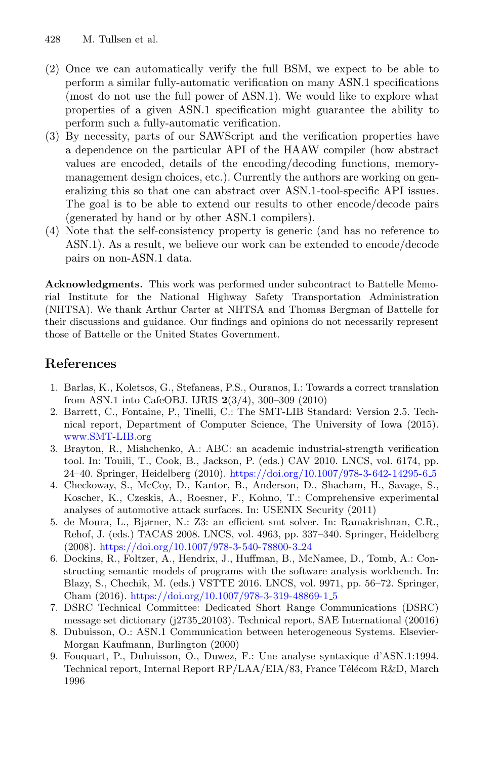- (2) Once we can automatically verify the full BSM, we expect to be able to perform a similar fully-automatic verification on many ASN.1 specifications (most do not use the full power of ASN.1). We would like to explore what properties of a given ASN.1 specification might guarantee the ability to perform such a fully-automatic verification.
- (3) By necessity, parts of our SAWScript and the verification properties have a dependence on the particular API of the HAAW compiler (how abstract values are encoded, details of the encoding/decoding functions, memorymanagement design choices, etc.). Currently the authors are working on generalizing this so that one can abstract over ASN.1-tool-specific API issues. The goal is to be able to extend our results to other encode/decode pairs (generated by hand or by other ASN.1 compilers).
- (4) Note that the self-consistency property is generic (and has no reference to ASN.1). As a result, we believe our work can be extended to encode/decode pairs on non-ASN.1 data.

**Acknowledgments.** This work was performed under subcontract to Battelle Memorial Institute for the National Highway Safety Transportation Administration (NHTSA). We thank Arthur Carter at NHTSA and Thomas Bergman of Battelle for their discussions and guidance. Our findings and opinions do not necessarily represent those of Battelle or the United States Government.

# **References**

- <span id="page-15-1"></span>1. Barlas, K., Koletsos, G., Stefaneas, P.S., Ouranos, I.: Towards a correct translation from ASN.1 into CafeOBJ. IJRIS **2**(3/4), 300–309 (2010)
- <span id="page-15-7"></span>2. Barrett, C., Fontaine, P., Tinelli, C.: The SMT-LIB Standard: Version 2.5. Technical report, Department of Computer Science, The University of Iowa (2015). [www.SMT-LIB.org](https://www.SMT-LIB.org)
- <span id="page-15-6"></span>3. Brayton, R., Mishchenko, A.: ABC: an academic industrial-strength verification tool. In: Touili, T., Cook, B., Jackson, P. (eds.) CAV 2010. LNCS, vol. 6174, pp. 24–40. Springer, Heidelberg (2010). [https://doi.org/10.1007/978-3-642-14295-6](https://doi.org/10.1007/978-3-642-14295-6_5) 5
- <span id="page-15-0"></span>4. Checkoway, S., McCoy, D., Kantor, B., Anderson, D., Shacham, H., Savage, S., Koscher, K., Czeskis, A., Roesner, F., Kohno, T.: Comprehensive experimental analyses of automotive attack surfaces. In: USENIX Security (2011)
- <span id="page-15-8"></span>5. de Moura, L., Bjørner, N.: Z3: an efficient smt solver. In: Ramakrishnan, C.R., Rehof, J. (eds.) TACAS 2008. LNCS, vol. 4963, pp. 337–340. Springer, Heidelberg (2008). [https://doi.org/10.1007/978-3-540-78800-3](https://doi.org/10.1007/978-3-540-78800-3_24) 24
- <span id="page-15-2"></span>6. Dockins, R., Foltzer, A., Hendrix, J., Huffman, B., McNamee, D., Tomb, A.: Constructing semantic models of programs with the software analysis workbench. In: Blazy, S., Chechik, M. (eds.) VSTTE 2016. LNCS, vol. 9971, pp. 56–72. Springer, Cham (2016). [https://doi.org/10.1007/978-3-319-48869-1](https://doi.org/10.1007/978-3-319-48869-1_5) 5
- <span id="page-15-3"></span>7. DSRC Technical Committee: Dedicated Short Range Communications (DSRC) message set dictionary (j2735 20103). Technical report, SAE International (20016)
- <span id="page-15-4"></span>8. Dubuisson, O.: ASN.1 Communication between heterogeneous Systems. Elsevier-Morgan Kaufmann, Burlington (2000)
- <span id="page-15-5"></span>9. Fouquart, P., Dubuisson, O., Duwez, F.: Une analyse syntaxique d'ASN.1:1994. Technical report, Internal Report RP/LAA/EIA/83, France Télécom R&D, March 1996